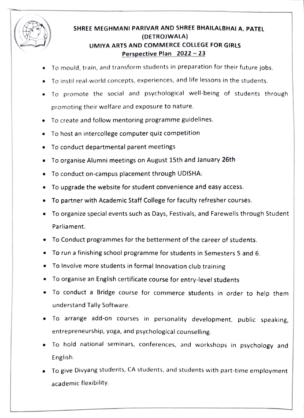

## ( SHREE MEGHMANI PARIVAR AND SHREE BHAILALBHAI A. PATEL (DETROJWALA) UMIYA ARTS AND COMMERCE COLLEGE FOR GIRLS Perspective Plan  $2022 - 23$

- To mould, train, and transform students in preparation for their future jobs.
- To instil real-world concepts, experiences, and life lessons in the students.
- To promote the social and psychological well-being of students through promoting their welfare and exposure to nature.
- To create and follow mentoring programme guidelines.
- To host an intercollege computer quiz competition  $\bullet$
- To conduct departmental parent meetings
- .To organise Alumni meetings on August 15th and January 26th
- To conduct on-campus placement through UDISHA.
- To upgrade the website for student convenience and easy access.
- To partner with Academic Staff College for faculty refresher courses.
- To organize special events such as Days, Festivals, and Farewells through Student Parliament.
- To Conduct programmes for the betterment of the career of students.
- To run a finishing school programme for students in Semesters 5 and 6.
- To Involve more students in formal Innovation club training
- To organise an English certificate course for entry-level students
- To conduct a Bridge course for commerce students in order to help them understand Tally Software.
- To arrange add-on courses in personality development, public speaking, entrepreneurship, yoga, and psychological counselling.
- To hold national seminars, conferences, and workshops in psychology and English.
- To give Divyang students, CA students, and students with part-time employment academic flexibility.